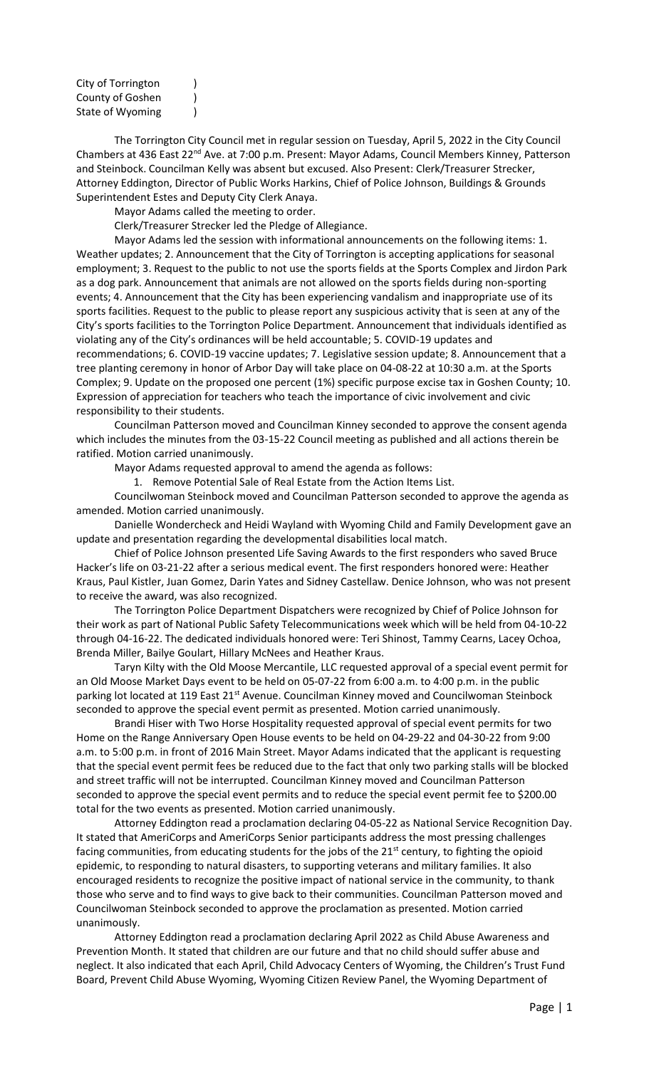| City of Torrington |  |
|--------------------|--|
| County of Goshen   |  |
| State of Wyoming   |  |

The Torrington City Council met in regular session on Tuesday, April 5, 2022 in the City Council Chambers at 436 East 22<sup>nd</sup> Ave. at 7:00 p.m. Present: Mayor Adams, Council Members Kinney, Patterson and Steinbock. Councilman Kelly was absent but excused. Also Present: Clerk/Treasurer Strecker, Attorney Eddington, Director of Public Works Harkins, Chief of Police Johnson, Buildings & Grounds Superintendent Estes and Deputy City Clerk Anaya.

Mayor Adams called the meeting to order.

Clerk/Treasurer Strecker led the Pledge of Allegiance.

Mayor Adams led the session with informational announcements on the following items: 1. Weather updates; 2. Announcement that the City of Torrington is accepting applications for seasonal employment; 3. Request to the public to not use the sports fields at the Sports Complex and Jirdon Park as a dog park. Announcement that animals are not allowed on the sports fields during non-sporting events; 4. Announcement that the City has been experiencing vandalism and inappropriate use of its sports facilities. Request to the public to please report any suspicious activity that is seen at any of the City's sports facilities to the Torrington Police Department. Announcement that individuals identified as violating any of the City's ordinances will be held accountable; 5. COVID-19 updates and recommendations; 6. COVID-19 vaccine updates; 7. Legislative session update; 8. Announcement that a tree planting ceremony in honor of Arbor Day will take place on 04-08-22 at 10:30 a.m. at the Sports Complex; 9. Update on the proposed one percent (1%) specific purpose excise tax in Goshen County; 10. Expression of appreciation for teachers who teach the importance of civic involvement and civic responsibility to their students.

Councilman Patterson moved and Councilman Kinney seconded to approve the consent agenda which includes the minutes from the 03-15-22 Council meeting as published and all actions therein be ratified. Motion carried unanimously.

Mayor Adams requested approval to amend the agenda as follows:

1. Remove Potential Sale of Real Estate from the Action Items List.

Councilwoman Steinbock moved and Councilman Patterson seconded to approve the agenda as amended. Motion carried unanimously.

Danielle Wondercheck and Heidi Wayland with Wyoming Child and Family Development gave an update and presentation regarding the developmental disabilities local match.

Chief of Police Johnson presented Life Saving Awards to the first responders who saved Bruce Hacker's life on 03-21-22 after a serious medical event. The first responders honored were: Heather Kraus, Paul Kistler, Juan Gomez, Darin Yates and Sidney Castellaw. Denice Johnson, who was not present to receive the award, was also recognized.

The Torrington Police Department Dispatchers were recognized by Chief of Police Johnson for their work as part of National Public Safety Telecommunications week which will be held from 04-10-22 through 04-16-22. The dedicated individuals honored were: Teri Shinost, Tammy Cearns, Lacey Ochoa, Brenda Miller, Bailye Goulart, Hillary McNees and Heather Kraus.

Taryn Kilty with the Old Moose Mercantile, LLC requested approval of a special event permit for an Old Moose Market Days event to be held on 05-07-22 from 6:00 a.m. to 4:00 p.m. in the public parking lot located at 119 East 21<sup>st</sup> Avenue. Councilman Kinney moved and Councilwoman Steinbock seconded to approve the special event permit as presented. Motion carried unanimously.

Brandi Hiser with Two Horse Hospitality requested approval of special event permits for two Home on the Range Anniversary Open House events to be held on 04-29-22 and 04-30-22 from 9:00 a.m. to 5:00 p.m. in front of 2016 Main Street. Mayor Adams indicated that the applicant is requesting that the special event permit fees be reduced due to the fact that only two parking stalls will be blocked and street traffic will not be interrupted. Councilman Kinney moved and Councilman Patterson seconded to approve the special event permits and to reduce the special event permit fee to \$200.00 total for the two events as presented. Motion carried unanimously.

Attorney Eddington read a proclamation declaring 04-05-22 as National Service Recognition Day. It stated that AmeriCorps and AmeriCorps Senior participants address the most pressing challenges facing communities, from educating students for the jobs of the 21<sup>st</sup> century, to fighting the opioid epidemic, to responding to natural disasters, to supporting veterans and military families. It also encouraged residents to recognize the positive impact of national service in the community, to thank those who serve and to find ways to give back to their communities. Councilman Patterson moved and Councilwoman Steinbock seconded to approve the proclamation as presented. Motion carried unanimously.

Attorney Eddington read a proclamation declaring April 2022 as Child Abuse Awareness and Prevention Month. It stated that children are our future and that no child should suffer abuse and neglect. It also indicated that each April, Child Advocacy Centers of Wyoming, the Children's Trust Fund Board, Prevent Child Abuse Wyoming, Wyoming Citizen Review Panel, the Wyoming Department of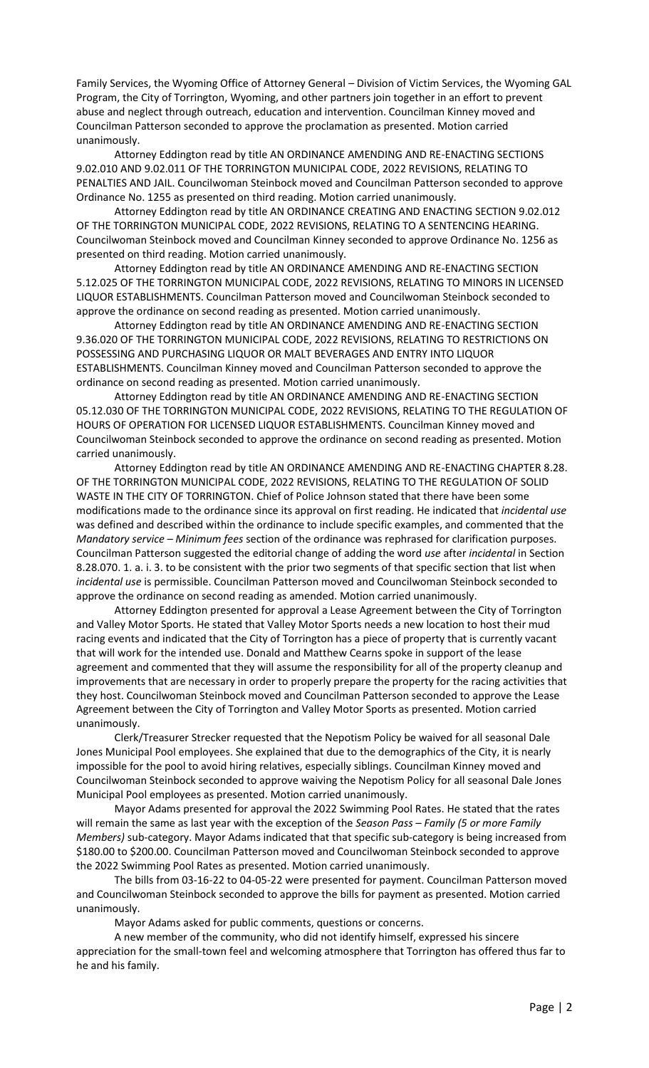Family Services, the Wyoming Office of Attorney General – Division of Victim Services, the Wyoming GAL Program, the City of Torrington, Wyoming, and other partners join together in an effort to prevent abuse and neglect through outreach, education and intervention. Councilman Kinney moved and Councilman Patterson seconded to approve the proclamation as presented. Motion carried unanimously.

Attorney Eddington read by title AN ORDINANCE AMENDING AND RE-ENACTING SECTIONS 9.02.010 AND 9.02.011 OF THE TORRINGTON MUNICIPAL CODE, 2022 REVISIONS, RELATING TO PENALTIES AND JAIL. Councilwoman Steinbock moved and Councilman Patterson seconded to approve Ordinance No. 1255 as presented on third reading. Motion carried unanimously.

Attorney Eddington read by title AN ORDINANCE CREATING AND ENACTING SECTION 9.02.012 OF THE TORRINGTON MUNICIPAL CODE, 2022 REVISIONS, RELATING TO A SENTENCING HEARING. Councilwoman Steinbock moved and Councilman Kinney seconded to approve Ordinance No. 1256 as presented on third reading. Motion carried unanimously.

Attorney Eddington read by title AN ORDINANCE AMENDING AND RE-ENACTING SECTION 5.12.025 OF THE TORRINGTON MUNICIPAL CODE, 2022 REVISIONS, RELATING TO MINORS IN LICENSED LIQUOR ESTABLISHMENTS. Councilman Patterson moved and Councilwoman Steinbock seconded to approve the ordinance on second reading as presented. Motion carried unanimously.

Attorney Eddington read by title AN ORDINANCE AMENDING AND RE-ENACTING SECTION 9.36.020 OF THE TORRINGTON MUNICIPAL CODE, 2022 REVISIONS, RELATING TO RESTRICTIONS ON POSSESSING AND PURCHASING LIQUOR OR MALT BEVERAGES AND ENTRY INTO LIQUOR ESTABLISHMENTS. Councilman Kinney moved and Councilman Patterson seconded to approve the ordinance on second reading as presented. Motion carried unanimously.

Attorney Eddington read by title AN ORDINANCE AMENDING AND RE-ENACTING SECTION 05.12.030 OF THE TORRINGTON MUNICIPAL CODE, 2022 REVISIONS, RELATING TO THE REGULATION OF HOURS OF OPERATION FOR LICENSED LIQUOR ESTABLISHMENTS. Councilman Kinney moved and Councilwoman Steinbock seconded to approve the ordinance on second reading as presented. Motion carried unanimously.

Attorney Eddington read by title AN ORDINANCE AMENDING AND RE-ENACTING CHAPTER 8.28. OF THE TORRINGTON MUNICIPAL CODE, 2022 REVISIONS, RELATING TO THE REGULATION OF SOLID WASTE IN THE CITY OF TORRINGTON. Chief of Police Johnson stated that there have been some modifications made to the ordinance since its approval on first reading. He indicated that *incidental use* was defined and described within the ordinance to include specific examples, and commented that the *Mandatory service – Minimum fees* section of the ordinance was rephrased for clarification purposes. Councilman Patterson suggested the editorial change of adding the word *use* after *incidental* in Section 8.28.070. 1. a. i. 3. to be consistent with the prior two segments of that specific section that list when *incidental use* is permissible. Councilman Patterson moved and Councilwoman Steinbock seconded to approve the ordinance on second reading as amended. Motion carried unanimously.

Attorney Eddington presented for approval a Lease Agreement between the City of Torrington and Valley Motor Sports. He stated that Valley Motor Sports needs a new location to host their mud racing events and indicated that the City of Torrington has a piece of property that is currently vacant that will work for the intended use. Donald and Matthew Cearns spoke in support of the lease agreement and commented that they will assume the responsibility for all of the property cleanup and improvements that are necessary in order to properly prepare the property for the racing activities that they host. Councilwoman Steinbock moved and Councilman Patterson seconded to approve the Lease Agreement between the City of Torrington and Valley Motor Sports as presented. Motion carried unanimously.

Clerk/Treasurer Strecker requested that the Nepotism Policy be waived for all seasonal Dale Jones Municipal Pool employees. She explained that due to the demographics of the City, it is nearly impossible for the pool to avoid hiring relatives, especially siblings. Councilman Kinney moved and Councilwoman Steinbock seconded to approve waiving the Nepotism Policy for all seasonal Dale Jones Municipal Pool employees as presented. Motion carried unanimously.

Mayor Adams presented for approval the 2022 Swimming Pool Rates. He stated that the rates will remain the same as last year with the exception of the *Season Pass - Family (5 or more Family Members)* sub-category. Mayor Adams indicated that that specific sub-category is being increased from \$180.00 to \$200.00. Councilman Patterson moved and Councilwoman Steinbock seconded to approve the 2022 Swimming Pool Rates as presented. Motion carried unanimously.

The bills from 03-16-22 to 04-05-22 were presented for payment. Councilman Patterson moved and Councilwoman Steinbock seconded to approve the bills for payment as presented. Motion carried unanimously.

Mayor Adams asked for public comments, questions or concerns.

A new member of the community, who did not identify himself, expressed his sincere appreciation for the small-town feel and welcoming atmosphere that Torrington has offered thus far to he and his family.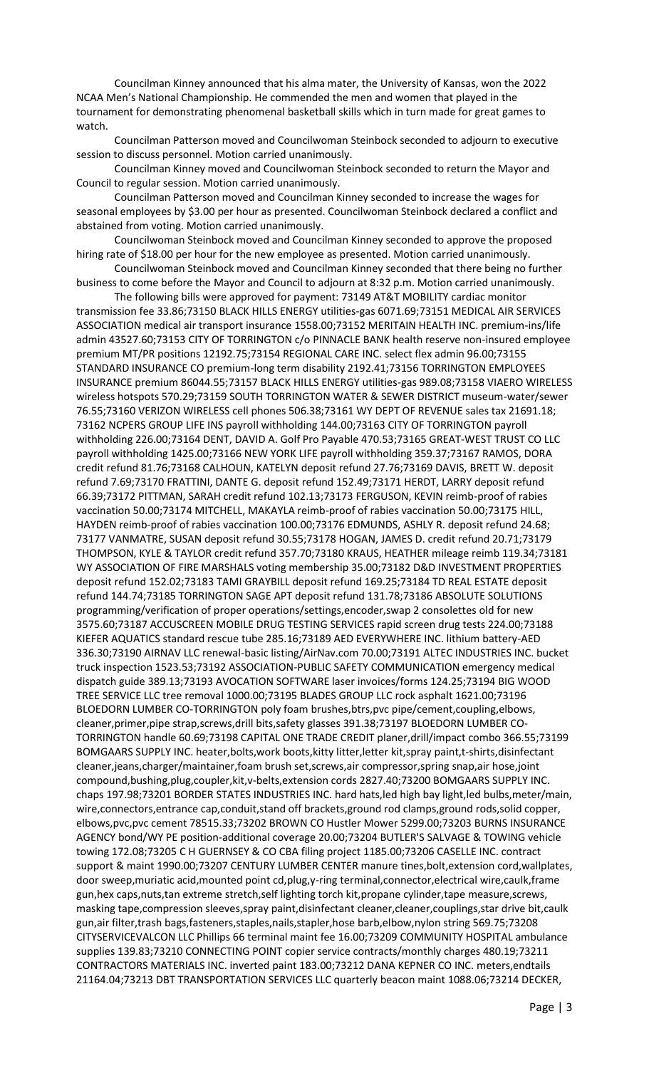Councilman Kinney announced that his alma mater, the University of Kansas, won the 2022 NCAA Men's National Championship. He commended the men and women that played in the tournament for demonstrating phenomenal basketball skills which in turn made for great games to watch.

Councilman Patterson moved and Councilwoman Steinbock seconded to adjourn to executive session to discuss personnel. Motion carried unanimously.

Councilman Kinney moved and Councilwoman Steinbock seconded to return the Mayor and Council to regular session. Motion carried unanimously.

Councilman Patterson moved and Councilman Kinney seconded to increase the wages for seasonal employees by \$3.00 per hour as presented. Councilwoman Steinbock declared a conflict and abstained from voting. Motion carried unanimously.

Councilwoman Steinbock moved and Councilman Kinney seconded to approve the proposed hiring rate of \$18.00 per hour for the new employee as presented. Motion carried unanimously.

Councilwoman Steinbock moved and Councilman Kinney seconded that there being no further business to come before the Mayor and Council to adjourn at 8:32 p.m. Motion carried unanimously.

The following bills were approved for payment: 73149 AT&T MOBILITY cardiac monitor transmission fee 33.86;73150 BLACK HILLS ENERGY utilities-gas 6071.69;73151 MEDICAL AIR SERVICES ASSOCIATION medical air transport insurance 1558.00;73152 MERITAIN HEALTH INC. premium-ins/life admin 43527.60;73153 CITY OF TORRINGTON c/o PINNACLE BANK health reserve non-insured employee premium MT/PR positions 12192.75;73154 REGIONAL CARE INC. select flex admin 96.00;73155 STANDARD INSURANCE CO premium-long term disability 2192.41;73156 TORRINGTON EMPLOYEES INSURANCE premium 86044.55;73157 BLACK HILLS ENERGY utilities-gas 989.08;73158 VIAERO WIRELESS wireless hotspots 570.29;73159 SOUTH TORRINGTON WATER & SEWER DISTRICT museum-water/sewer 76.55;73160 VERIZON WIRELESS cell phones 506.38;73161 WY DEPT OF REVENUE sales tax 21691.18; 73162 NCPERS GROUP LIFE INS payroll withholding 144.00;73163 CITY OF TORRINGTON payroll withholding 226.00;73164 DENT, DAVID A. Golf Pro Payable 470.53;73165 GREAT-WEST TRUST CO LLC payroll withholding 1425.00;73166 NEW YORK LIFE payroll withholding 359.37;73167 RAMOS, DORA credit refund 81.76;73168 CALHOUN, KATELYN deposit refund 27.76;73169 DAVIS, BRETT W. deposit refund 7.69;73170 FRATTINI, DANTE G. deposit refund 152.49;73171 HERDT, LARRY deposit refund 66.39;73172 PITTMAN, SARAH credit refund 102.13;73173 FERGUSON, KEVIN reimb-proof of rabies vaccination 50.00;73174 MITCHELL, MAKAYLA reimb-proof of rabies vaccination 50.00;73175 HILL, HAYDEN reimb-proof of rabies vaccination 100.00;73176 EDMUNDS, ASHLY R. deposit refund 24.68; 73177 VANMATRE, SUSAN deposit refund 30.55;73178 HOGAN, JAMES D. credit refund 20.71;73179 THOMPSON, KYLE & TAYLOR credit refund 357.70;73180 KRAUS, HEATHER mileage reimb 119.34;73181 WY ASSOCIATION OF FIRE MARSHALS voting membership 35.00;73182 D&D INVESTMENT PROPERTIES deposit refund 152.02;73183 TAMI GRAYBILL deposit refund 169.25;73184 TD REAL ESTATE deposit refund 144.74;73185 TORRINGTON SAGE APT deposit refund 131.78;73186 ABSOLUTE SOLUTIONS programming/verification of proper operations/settings,encoder,swap 2 consolettes old for new 3575.60;73187 ACCUSCREEN MOBILE DRUG TESTING SERVICES rapid screen drug tests 224.00;73188 KIEFER AQUATICS standard rescue tube 285.16;73189 AED EVERYWHERE INC. lithium battery-AED 336.30;73190 AIRNAV LLC renewal-basic listing/AirNav.com 70.00;73191 ALTEC INDUSTRIES INC. bucket truck inspection 1523.53;73192 ASSOCIATION-PUBLIC SAFETY COMMUNICATION emergency medical dispatch guide 389.13;73193 AVOCATION SOFTWARE laser invoices/forms 124.25;73194 BIG WOOD TREE SERVICE LLC tree removal 1000.00;73195 BLADES GROUP LLC rock asphalt 1621.00;73196 BLOEDORN LUMBER CO-TORRINGTON poly foam brushes,btrs,pvc pipe/cement,coupling,elbows, cleaner,primer,pipe strap,screws,drill bits,safety glasses 391.38;73197 BLOEDORN LUMBER CO-TORRINGTON handle 60.69;73198 CAPITAL ONE TRADE CREDIT planer,drill/impact combo 366.55;73199 BOMGAARS SUPPLY INC. heater,bolts,work boots,kitty litter,letter kit,spray paint,t-shirts,disinfectant cleaner,jeans,charger/maintainer,foam brush set,screws,air compressor,spring snap,air hose,joint compound,bushing,plug,coupler,kit,v-belts,extension cords 2827.40;73200 BOMGAARS SUPPLY INC. chaps 197.98;73201 BORDER STATES INDUSTRIES INC. hard hats,led high bay light,led bulbs,meter/main, wire,connectors,entrance cap,conduit,stand off brackets,ground rod clamps,ground rods,solid copper, elbows,pvc,pvc cement 78515.33;73202 BROWN CO Hustler Mower 5299.00;73203 BURNS INSURANCE AGENCY bond/WY PE position-additional coverage 20.00;73204 BUTLER'S SALVAGE & TOWING vehicle towing 172.08;73205 C H GUERNSEY & CO CBA filing project 1185.00;73206 CASELLE INC. contract support & maint 1990.00;73207 CENTURY LUMBER CENTER manure tines,bolt,extension cord,wallplates, door sweep,muriatic acid,mounted point cd,plug,y-ring terminal,connector,electrical wire,caulk,frame gun,hex caps,nuts,tan extreme stretch,self lighting torch kit,propane cylinder,tape measure,screws, masking tape,compression sleeves,spray paint,disinfectant cleaner,cleaner,couplings,star drive bit,caulk gun,air filter,trash bags,fasteners,staples,nails,stapler,hose barb,elbow,nylon string 569.75;73208 CITYSERVICEVALCON LLC Phillips 66 terminal maint fee 16.00;73209 COMMUNITY HOSPITAL ambulance supplies 139.83;73210 CONNECTING POINT copier service contracts/monthly charges 480.19;73211 CONTRACTORS MATERIALS INC. inverted paint 183.00;73212 DANA KEPNER CO INC. meters,endtails 21164.04;73213 DBT TRANSPORTATION SERVICES LLC quarterly beacon maint 1088.06;73214 DECKER,